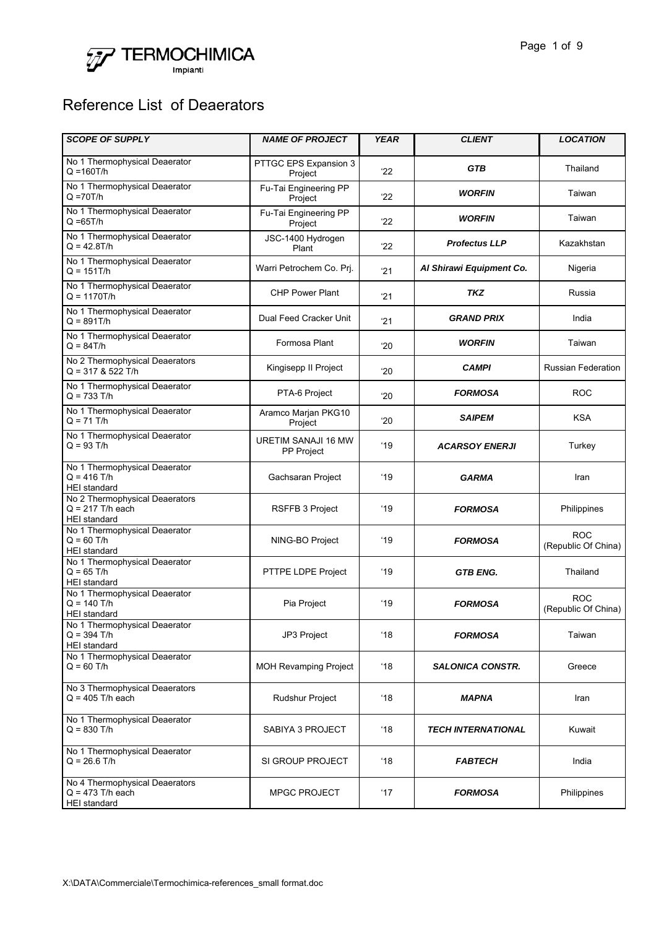

## Reference List of Deaerators

| <b>SCOPE OF SUPPLY</b>                                                      | <b>NAME OF PROJECT</b>            | <b>YEAR</b>  | <b>CLIENT</b>             | <b>LOCATION</b>                   |
|-----------------------------------------------------------------------------|-----------------------------------|--------------|---------------------------|-----------------------------------|
| No 1 Thermophysical Deaerator<br>$Q = 160T/h$                               | PTTGC EPS Expansion 3<br>Project  | 22'          | <b>GTB</b>                | Thailand                          |
| No 1 Thermophysical Deaerator<br>$Q = 70T/h$                                | Fu-Tai Engineering PP<br>Project  | 22           | <b>WORFIN</b>             | Taiwan                            |
| No 1 Thermophysical Deaerator<br>$Q = 65T/h$                                | Fu-Tai Engineering PP<br>Project  | 22           | <b>WORFIN</b>             | Taiwan                            |
| No 1 Thermophysical Deaerator<br>$Q = 42.8T/h$                              | JSC-1400 Hydrogen<br>Plant        | 22           | <b>Profectus LLP</b>      | Kazakhstan                        |
| No 1 Thermophysical Deaerator<br>$Q = 151T/h$                               | Warri Petrochem Co. Prj.          | '21          | Al Shirawi Equipment Co.  | Nigeria                           |
| No 1 Thermophysical Deaerator<br>$Q = 1170T/h$                              | <b>CHP Power Plant</b>            | '21          | TKZ                       | Russia                            |
| No 1 Thermophysical Deaerator<br>$Q = 891T/h$                               | Dual Feed Cracker Unit            | '21          | <b>GRAND PRIX</b>         | India                             |
| No 1 Thermophysical Deaerator<br>$Q = 84T/h$                                | Formosa Plant                     | '20          | <b>WORFIN</b>             | Taiwan                            |
| No 2 Thermophysical Deaerators<br>$Q = 317$ & 522 T/h                       | Kingisepp II Project              | '20          | <b>CAMPI</b>              | <b>Russian Federation</b>         |
| No 1 Thermophysical Deaerator<br>$Q = 733$ T/h                              | PTA-6 Project                     | '20          | <b>FORMOSA</b>            | <b>ROC</b>                        |
| No 1 Thermophysical Deaerator<br>$Q = 71$ T/h                               | Aramco Marjan PKG10<br>Project    | '20          | <b>SAIPEM</b>             | <b>KSA</b>                        |
| No 1 Thermophysical Deaerator<br>$Q = 93$ T/h                               | URETIM SANAJI 16 MW<br>PP Project | '19          | <b>ACARSOY ENERJI</b>     | Turkey                            |
| No 1 Thermophysical Deaerator<br>$Q = 416$ T/h<br><b>HEI</b> standard       | Gachsaran Project                 | '19          | <b>GARMA</b>              | Iran                              |
| No 2 Thermophysical Deaerators<br>$Q = 217$ T/h each<br><b>HEI</b> standard | <b>RSFFB 3 Project</b>            | '19          | <b>FORMOSA</b>            | Philippines                       |
| No 1 Thermophysical Deaerator<br>$Q = 60$ T/h<br><b>HEI</b> standard        | NING-BO Project                   | '19          | <b>FORMOSA</b>            | <b>ROC</b><br>(Republic Of China) |
| No 1 Thermophysical Deaerator<br>$Q = 65$ T/h<br><b>HEI</b> standard        | PTTPE LDPE Project                | '19          | <b>GTB ENG.</b>           | Thailand                          |
| No 1 Thermophysical Deaerator<br>$Q = 140$ T/h<br>HEI standard              | Pia Project                       | '19          | <b>FORMOSA</b>            | <b>ROC</b><br>(Republic Of China) |
| No 1 Thermophysical Deaerator<br>$Q = 394$ T/h<br><b>HEI</b> standard       | JP3 Project                       | '18          | <b>FORMOSA</b>            | Taiwan                            |
| No 1 Thermophysical Deaerator<br>$Q = 60$ T/h                               | <b>MOH Revamping Project</b>      | '18          | <b>SALONICA CONSTR.</b>   | Greece                            |
| No 3 Thermophysical Deaerators<br>$Q = 405$ T/h each                        | Rudshur Project                   | $^{\circ}18$ | <b>MAPNA</b>              | Iran                              |
| No 1 Thermophysical Deaerator<br>$Q = 830$ T/h                              | SABIYA 3 PROJECT                  | $^{\circ}18$ | <b>TECH INTERNATIONAL</b> | Kuwait                            |
| No 1 Thermophysical Deaerator<br>$Q = 26.6$ T/h                             | SI GROUP PROJECT                  | $^{\circ}18$ | <b>FABTECH</b>            | India                             |
| No 4 Thermophysical Deaerators<br>$Q = 473$ T/h each<br><b>HEI</b> standard | <b>MPGC PROJECT</b>               | $^{\circ}17$ | <b>FORMOSA</b>            | Philippines                       |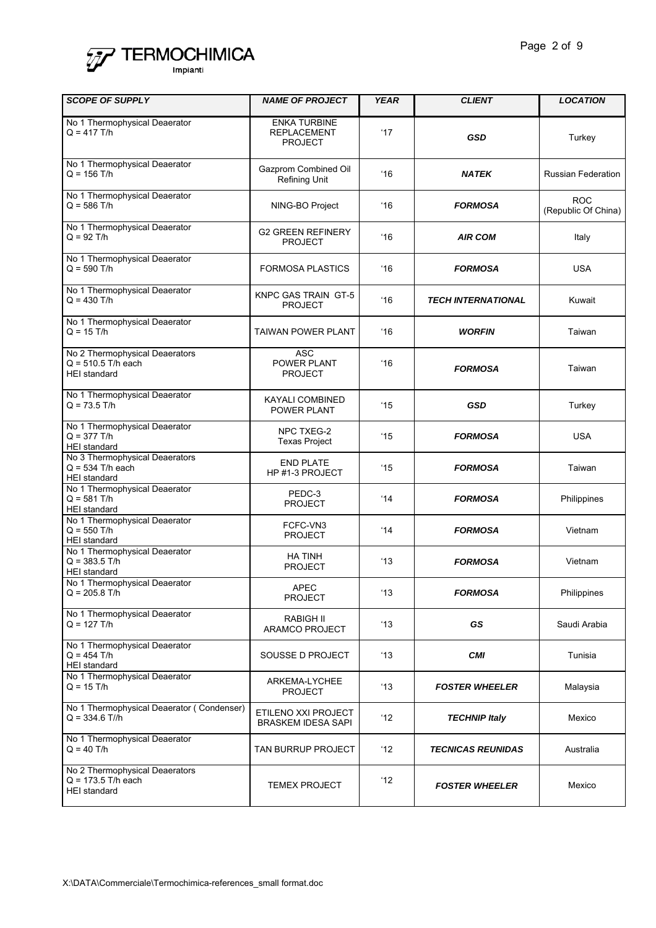

| <b>SCOPE OF SUPPLY</b>                                                        | <b>NAME OF PROJECT</b>                                      | <b>YEAR</b>    | <b>CLIENT</b>             | <b>LOCATION</b>                   |
|-------------------------------------------------------------------------------|-------------------------------------------------------------|----------------|---------------------------|-----------------------------------|
| No 1 Thermophysical Deaerator<br>$Q = 417$ T/h                                | <b>ENKA TURBINE</b><br><b>REPLACEMENT</b><br><b>PROJECT</b> | 17'            | <b>GSD</b>                | Turkey                            |
| No 1 Thermophysical Deaerator<br>$Q = 156$ T/h                                | Gazprom Combined Oil<br><b>Refining Unit</b>                | 16             | <b>NATEK</b>              | <b>Russian Federation</b>         |
| No 1 Thermophysical Deaerator<br>$Q = 586$ T/h                                | NING-BO Project                                             | $^{\circ}16$   | <b>FORMOSA</b>            | <b>ROC</b><br>(Republic Of China) |
| No 1 Thermophysical Deaerator<br>$Q = 92$ T/h                                 | <b>G2 GREEN REFINERY</b><br><b>PROJECT</b>                  | 16             | <b>AIR COM</b>            | Italy                             |
| No 1 Thermophysical Deaerator<br>$Q = 590$ T/h                                | <b>FORMOSA PLASTICS</b>                                     | 16             | <b>FORMOSA</b>            | <b>USA</b>                        |
| No 1 Thermophysical Deaerator<br>$Q = 430$ T/h                                | KNPC GAS TRAIN GT-5<br><b>PROJECT</b>                       | 16             | <b>TECH INTERNATIONAL</b> | Kuwait                            |
| No 1 Thermophysical Deaerator<br>$Q = 15$ T/h                                 | <b>TAIWAN POWER PLANT</b>                                   | 16             | <b>WORFIN</b>             | Taiwan                            |
| No 2 Thermophysical Deaerators<br>$Q = 510.5$ T/h each<br><b>HEI</b> standard | <b>ASC</b><br>POWER PLANT<br><b>PROJECT</b>                 | $^{\circ}16$   | <b>FORMOSA</b>            | Taiwan                            |
| No 1 Thermophysical Deaerator<br>$Q = 73.5$ T/h                               | KAYALI COMBINED<br>POWER PLANT                              | $^{\prime}15$  | <b>GSD</b>                | Turkey                            |
| No 1 Thermophysical Deaerator<br>$Q = 377$ T/h<br><b>HEI</b> standard         | NPC TXEG-2<br><b>Texas Project</b>                          | $^{\prime}15$  | <b>FORMOSA</b>            | <b>USA</b>                        |
| No 3 Thermophysical Deaerators<br>$Q = 534$ T/h each<br><b>HEI</b> standard   | <b>END PLATE</b><br>HP #1-3 PROJECT                         | '15            | <b>FORMOSA</b>            | Taiwan                            |
| No 1 Thermophysical Deaerator<br>$Q = 581$ T/h<br><b>HEI</b> standard         | PEDC-3<br><b>PROJECT</b>                                    | 14             | <b>FORMOSA</b>            | Philippines                       |
| No 1 Thermophysical Deaerator<br>$Q = 550$ T/h<br><b>HEI</b> standard         | FCFC-VN3<br><b>PROJECT</b>                                  | 14             | <b>FORMOSA</b>            | Vietnam                           |
| No 1 Thermophysical Deaerator<br>$Q = 383.5$ T/h<br>HEI standard              | <b>HA TINH</b><br><b>PROJECT</b>                            | '13            | <b>FORMOSA</b>            | Vietnam                           |
| No 1 Thermophysical Deaerator<br>$Q = 205.8$ T/h                              | <b>APEC</b><br><b>PROJECT</b>                               | $^{\circ}13$   | <b>FORMOSA</b>            | Philippines                       |
| No 1 Thermophysical Deaerator<br>$Q = 127$ T/h                                | <b>RABIGH II</b><br>ARAMCO PROJECT                          | $^{\circ}13$   | GS                        | Saudi Arabia                      |
| No 1 Thermophysical Deaerator<br>$Q = 454$ T/h<br><b>HEI</b> standard         | SOUSSE D PROJECT                                            | $^{\circ}13$   | <b>CMI</b>                | Tunisia                           |
| No 1 Thermophysical Deaerator<br>$Q = 15$ T/h                                 | ARKEMA-LYCHEE<br><b>PROJECT</b>                             | $^{\circ}13$   | <b>FOSTER WHEELER</b>     | Malaysia                          |
| No 1 Thermophysical Deaerator (Condenser)<br>$Q = 334.6$ T//h                 | ETILENO XXI PROJECT<br><b>BRASKEM IDESA SAPI</b>            | $^{\prime}$ 12 | <b>TECHNIP Italy</b>      | Mexico                            |
| No 1 Thermophysical Deaerator<br>$Q = 40$ T/h                                 | TAN BURRUP PROJECT                                          | 12             | <b>TECNICAS REUNIDAS</b>  | Australia                         |
| No 2 Thermophysical Deaerators<br>$Q = 173.5$ T/h each<br><b>HEI</b> standard | <b>TEMEX PROJECT</b>                                        | ʻ12            | <b>FOSTER WHEELER</b>     | Mexico                            |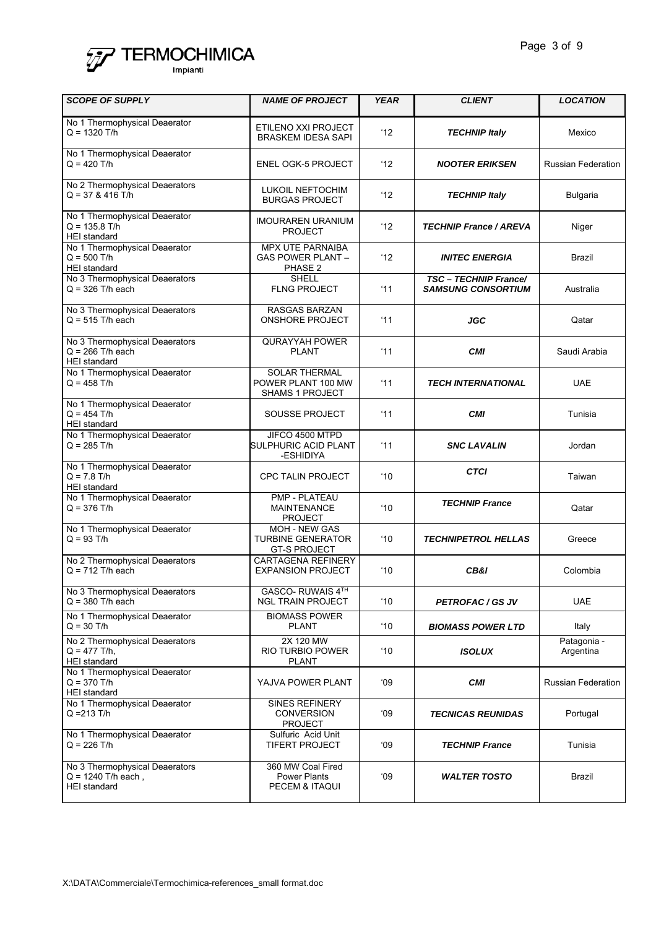

| <b>SCOPE OF SUPPLY</b>                                                        | <b>NAME OF PROJECT</b>                                                  | <b>YEAR</b>    | <b>CLIENT</b>                                      | <b>LOCATION</b>           |
|-------------------------------------------------------------------------------|-------------------------------------------------------------------------|----------------|----------------------------------------------------|---------------------------|
| No 1 Thermophysical Deaerator<br>$Q = 1320$ T/h                               | ETILENO XXI PROJECT<br><b>BRASKEM IDESA SAPI</b>                        | '12            | <b>TECHNIP Italy</b>                               | Mexico                    |
| No 1 Thermophysical Deaerator<br>$Q = 420$ T/h                                | <b>ENEL OGK-5 PROJECT</b>                                               | 12             | <b>NOOTER ERIKSEN</b>                              | <b>Russian Federation</b> |
| No 2 Thermophysical Deaerators<br>$Q = 37$ & 416 T/h                          | <b>LUKOIL NEFTOCHIM</b><br><b>BURGAS PROJECT</b>                        | 12'            | <b>TECHNIP Italy</b>                               | <b>Bulgaria</b>           |
| No 1 Thermophysical Deaerator<br>$Q = 135.8$ T/h<br><b>HEI</b> standard       | <b>IMOURAREN URANIUM</b><br><b>PROJECT</b>                              | 12'            | <b>TECHNIP France / AREVA</b>                      | Niger                     |
| No 1 Thermophysical Deaerator<br>$Q = 500$ T/h<br><b>HEI</b> standard         | <b>MPX UTE PARNAIBA</b><br><b>GAS POWER PLANT -</b><br>PHASE 2          | $^{\prime}$ 12 | <b>INITEC ENERGIA</b>                              | Brazil                    |
| No 3 Thermophysical Deaerators<br>$Q = 326$ T/h each                          | <b>SHELL</b><br><b>FLNG PROJECT</b>                                     | '11            | TSC - TECHNIP France/<br><b>SAMSUNG CONSORTIUM</b> | Australia                 |
| No 3 Thermophysical Deaerators<br>$Q = 515$ T/h each                          | <b>RASGAS BARZAN</b><br><b>ONSHORE PROJECT</b>                          | '11            | JGC                                                | Qatar                     |
| No 3 Thermophysical Deaerators<br>$Q = 266$ T/h each<br><b>HEI</b> standard   | <b>QURAYYAH POWER</b><br><b>PLANT</b>                                   | '11            | <b>CMI</b>                                         | Saudi Arabia              |
| No 1 Thermophysical Deaerator<br>$Q = 458$ T/h                                | <b>SOLAR THERMAL</b><br>POWER PLANT 100 MW<br><b>SHAMS 1 PROJECT</b>    | '11            | <b>TECH INTERNATIONAL</b>                          | <b>UAE</b>                |
| No 1 Thermophysical Deaerator<br>$Q = 454$ T/h<br><b>HEI</b> standard         | SOUSSE PROJECT                                                          | '11            | <b>CMI</b>                                         | Tunisia                   |
| No 1 Thermophysical Deaerator<br>$Q = 285$ T/h                                | JIFCO 4500 MTPD<br>SULPHURIC ACID PLANT<br>-ESHIDIYA                    | '11            | <b>SNC LAVALIN</b>                                 | Jordan                    |
| No 1 Thermophysical Deaerator<br>$Q = 7.8$ T/h<br><b>HEI</b> standard         | <b>CPC TALIN PROJECT</b>                                                | $10^{\circ}$   | <b>CTCI</b>                                        | Taiwan                    |
| No 1 Thermophysical Deaerator<br>$Q = 376$ T/h                                | PMP - PLATEAU<br><b>MAINTENANCE</b><br><b>PROJECT</b>                   | $^{\circ}10$   | <b>TECHNIP France</b>                              | Qatar                     |
| No 1 Thermophysical Deaerator<br>$Q = 93$ T/h                                 | <b>MOH - NEW GAS</b><br><b>TURBINE GENERATOR</b><br><b>GT-S PROJECT</b> | $10^{\circ}$   | <b>TECHNIPETROL HELLAS</b>                         | Greece                    |
| No 2 Thermophysical Deaerators<br>$Q = 712$ T/h each                          | <b>CARTAGENA REFINERY</b><br><b>EXPANSION PROJECT</b>                   | $10^{\circ}$   | CB&I                                               | Colombia                  |
| No 3 Thermophysical Deaerators<br>$Q = 380$ T/h each                          | GASCO-RUWAIS 4TH<br><b>NGL TRAIN PROJECT</b>                            | $^{\circ}10$   | <b>PETROFAC/GSJV</b>                               | <b>UAE</b>                |
| No 1 Thermophysical Deaerator<br>$Q = 30$ T/h                                 | <b>BIOMASS POWER</b><br><b>PLANT</b>                                    | $^{\circ}10$   | <b>BIOMASS POWER LTD</b>                           | Italy                     |
| No 2 Thermophysical Deaerators<br>$Q = 477$ T/h,<br><b>HEI</b> standard       | 2X 120 MW<br>RIO TURBIO POWER<br><b>PLANT</b>                           | $^{\circ}10$   | <b>ISOLUX</b>                                      | Patagonia -<br>Argentina  |
| No 1 Thermophysical Deaerator<br>$Q = 370$ T/h<br><b>HEI</b> standard         | YAJVA POWER PLANT                                                       | 09'            | <b>CMI</b>                                         | <b>Russian Federation</b> |
| No 1 Thermophysical Deaerator<br>$Q = 213$ T/h                                | <b>SINES REFINERY</b><br><b>CONVERSION</b><br><b>PROJECT</b>            | 09'            | <b>TECNICAS REUNIDAS</b>                           | Portugal                  |
| No 1 Thermophysical Deaerator<br>$Q = 226$ T/h                                | Sulfuric Acid Unit<br><b>TIFERT PROJECT</b>                             | 09'            | <b>TECHNIP France</b>                              | Tunisia                   |
| No 3 Thermophysical Deaerators<br>$Q = 1240$ T/h each,<br><b>HEI</b> standard | 360 MW Coal Fired<br><b>Power Plants</b><br>PECEM & ITAQUI              | 09'            | <b>WALTER TOSTO</b>                                | Brazil                    |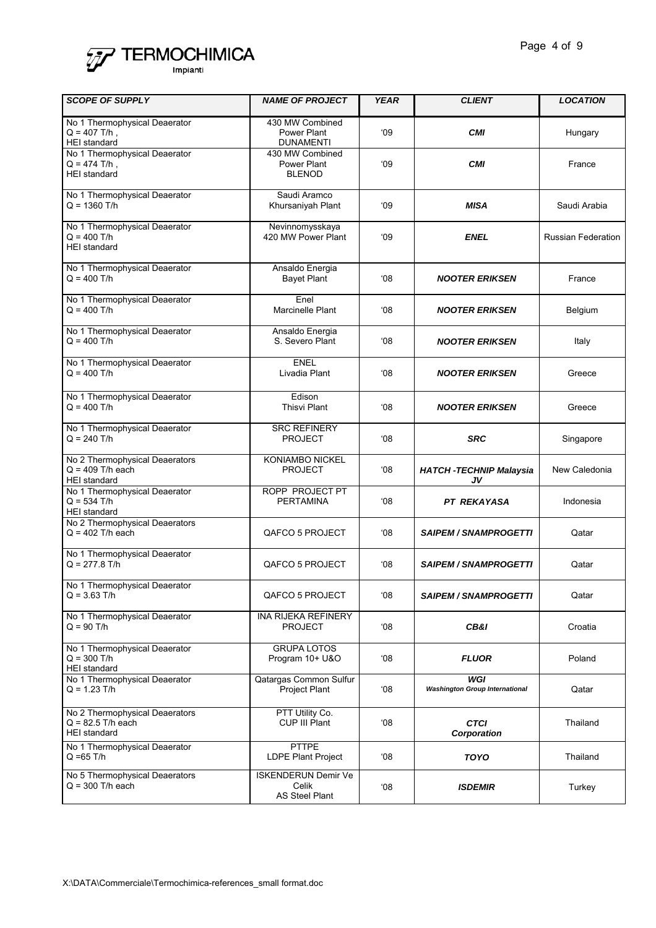

| <b>SCOPE OF SUPPLY</b>                                                       | <b>NAME OF PROJECT</b>                                       | <b>YEAR</b> | <b>CLIENT</b>                                | <b>LOCATION</b>           |
|------------------------------------------------------------------------------|--------------------------------------------------------------|-------------|----------------------------------------------|---------------------------|
| No 1 Thermophysical Deaerator<br>$Q = 407$ T/h,<br><b>HEI</b> standard       | 430 MW Combined<br>Power Plant<br><b>DUNAMENTI</b>           | 09          | <b>CMI</b>                                   | Hungary                   |
| No 1 Thermophysical Deaerator<br>$Q = 474$ T/h,<br><b>HEI</b> standard       | 430 MW Combined<br>Power Plant<br><b>BLENOD</b>              | 09'         | <b>CMI</b>                                   | France                    |
| No 1 Thermophysical Deaerator<br>$Q = 1360$ T/h                              | Saudi Aramco<br>Khursaniyah Plant                            | 09          | <b>MISA</b>                                  | Saudi Arabia              |
| No 1 Thermophysical Deaerator<br>$Q = 400$ T/h<br><b>HEI standard</b>        | Nevinnomysskaya<br>420 MW Power Plant                        | 09'         | <b>ENEL</b>                                  | <b>Russian Federation</b> |
| No 1 Thermophysical Deaerator<br>$Q = 400$ T/h                               | Ansaldo Energia<br><b>Bayet Plant</b>                        | 08'         | <b>NOOTER ERIKSEN</b>                        | France                    |
| No 1 Thermophysical Deaerator<br>$Q = 400$ T/h                               | Enel<br>Marcinelle Plant                                     | 08'         | <b>NOOTER ERIKSEN</b>                        | Belgium                   |
| No 1 Thermophysical Deaerator<br>$Q = 400$ T/h                               | Ansaldo Energia<br>S. Severo Plant                           | 08'         | <b>NOOTER ERIKSEN</b>                        | Italy                     |
| No 1 Thermophysical Deaerator<br>$Q = 400$ T/h                               | <b>ENEL</b><br>Livadia Plant                                 | ٬ο8         | <b>NOOTER ERIKSEN</b>                        | Greece                    |
| No 1 Thermophysical Deaerator<br>$Q = 400$ T/h                               | Edison<br><b>Thisvi Plant</b>                                | ٬Ο8         | <b>NOOTER ERIKSEN</b>                        | Greece                    |
| No 1 Thermophysical Deaerator<br>$Q = 240$ T/h                               | <b>SRC REFINERY</b><br><b>PROJECT</b>                        | '08         | <b>SRC</b>                                   | Singapore                 |
| No 2 Thermophysical Deaerators<br>$Q = 409$ T/h each<br><b>HEI</b> standard  | KONIAMBO NICKEL<br><b>PROJECT</b>                            | 08'         | <b>HATCH -TECHNIP Malaysia</b><br>JV         | New Caledonia             |
| No 1 Thermophysical Deaerator<br>$Q = 534$ T/h<br><b>HEI</b> standard        | ROPP PROJECT PT<br>PERTAMINA                                 | 08'         | <b>PT REKAYASA</b>                           | Indonesia                 |
| No 2 Thermophysical Deaerators<br>$Q = 402$ T/h each                         | QAFCO 5 PROJECT                                              | ٬ο8         | <b>SAIPEM / SNAMPROGETTI</b>                 | Qatar                     |
| No 1 Thermophysical Deaerator<br>$Q = 277.8$ T/h                             | QAFCO 5 PROJECT                                              | '08         | <b>SAIPEM / SNAMPROGETTI</b>                 | Qatar                     |
| No 1 Thermophysical Deaerator<br>$Q = 3.63$ T/h                              | QAFCO 5 PROJECT                                              | '08         | <b>SAIPEM / SNAMPROGETTI</b>                 | Qatar                     |
| No 1 Thermophysical Deaerator<br>$Q = 90$ T/h                                | INA RIJEKA REFINERY<br><b>PROJECT</b>                        | 08'         | CB&I                                         | Croatia                   |
| No 1 Thermophysical Deaerator<br>$Q = 300$ T/h<br><b>HEI</b> standard        | <b>GRUPA LOTOS</b><br>Program 10+ U&O                        | '08         | <b>FLUOR</b>                                 | Poland                    |
| No 1 Thermophysical Deaerator<br>$Q = 1.23$ T/h                              | Qatargas Common Sulfur<br><b>Project Plant</b>               | 08'         | WGI<br><b>Washington Group International</b> | Qatar                     |
| No 2 Thermophysical Deaerators<br>$Q = 82.5$ T/h each<br><b>HEI</b> standard | PTT Utility Co.<br>CUP III Plant                             | 08'         | <b>CTCI</b><br>Corporation                   | Thailand                  |
| No 1 Thermophysical Deaerator<br>$Q = 65$ T/h                                | <b>PTTPE</b><br><b>LDPE Plant Project</b>                    | 08'         | <b>TOYO</b>                                  | Thailand                  |
| No 5 Thermophysical Deaerators<br>$Q = 300$ T/h each                         | <b>ISKENDERUN Demir Ve</b><br>Celik<br><b>AS Steel Plant</b> | 08          | <b>ISDEMIR</b>                               | Turkey                    |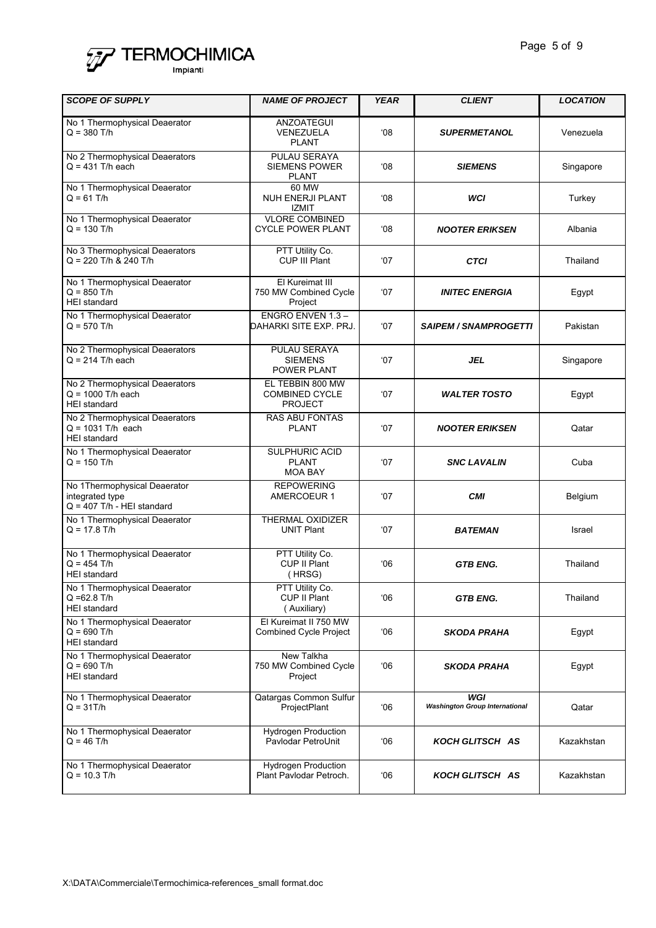

| <b>SCOPE OF SUPPLY</b>                                                          | <b>NAME OF PROJECT</b>                                      | <b>YEAR</b>  | <b>CLIENT</b>                                | <b>LOCATION</b> |
|---------------------------------------------------------------------------------|-------------------------------------------------------------|--------------|----------------------------------------------|-----------------|
| No 1 Thermophysical Deaerator<br>$Q = 380$ T/h                                  | ANZOATEGUI<br>VENEZUELA<br><b>PLANT</b>                     | 08'          | <b>SUPERMETANOL</b>                          | Venezuela       |
| No 2 Thermophysical Deaerators<br>$Q = 431$ T/h each                            | PULAU SERAYA<br><b>SIEMENS POWER</b><br><b>PLANT</b>        | $08^{\circ}$ | <b>SIEMENS</b>                               | Singapore       |
| No 1 Thermophysical Deaerator<br>$Q = 61$ T/h                                   | 60 MW<br><b>NUH ENERJI PLANT</b><br><b>IZMIT</b>            | $08^{\circ}$ | WCI                                          | Turkey          |
| No 1 Thermophysical Deaerator<br>$Q = 130$ T/h                                  | <b>VLORE COMBINED</b><br><b>CYCLE POWER PLANT</b>           | $08^{\circ}$ | <b>NOOTER ERIKSEN</b>                        | Albania         |
| No 3 Thermophysical Deaerators<br>$Q = 220$ T/h & 240 T/h                       | PTT Utility Co.<br>CUP III Plant                            | $^{\circ}07$ | <b>CTCI</b>                                  | Thailand        |
| No 1 Thermophysical Deaerator<br>$Q = 850$ T/h<br><b>HEI</b> standard           | El Kureimat III<br>750 MW Combined Cycle<br>Project         | $^{\circ}07$ | <b>INITEC ENERGIA</b>                        | Egypt           |
| No 1 Thermophysical Deaerator<br>$Q = 570$ T/h                                  | ENGRO ENVEN 1.3-<br>DAHARKI SITE EXP. PRJ.                  | '07          | <b>SAIPEM / SNAMPROGETTI</b>                 | Pakistan        |
| No 2 Thermophysical Deaerators<br>$Q = 214$ T/h each                            | PULAU SERAYA<br><b>SIEMENS</b><br><b>POWER PLANT</b>        | $^{\circ}07$ | <b>JEL</b>                                   | Singapore       |
| No 2 Thermophysical Deaerators<br>$Q = 1000$ T/h each<br><b>HEI</b> standard    | EL TEBBIN 800 MW<br><b>COMBINED CYCLE</b><br><b>PROJECT</b> | '07          | <b>WALTER TOSTO</b>                          | Egypt           |
| No 2 Thermophysical Deaerators<br>$Q = 1031$ T/h each<br><b>HEI</b> standard    | <b>RAS ABU FONTAS</b><br><b>PLANT</b>                       | '07          | <b>NOOTER ERIKSEN</b>                        | Qatar           |
| No 1 Thermophysical Deaerator<br>$Q = 150$ T/h                                  | SULPHURIC ACID<br><b>PLANT</b><br><b>MOA BAY</b>            | $^{\circ}07$ | <b>SNC LAVALIN</b>                           | Cuba            |
| No 1Thermophysical Deaerator<br>integrated type<br>$Q = 407$ T/h - HEI standard | <b>REPOWERING</b><br>AMERCOEUR 1                            | '07          | <b>CMI</b>                                   | Belgium         |
| No 1 Thermophysical Deaerator<br>$Q = 17.8$ T/h                                 | THERMAL OXIDIZER<br><b>UNIT Plant</b>                       | $^{\circ}07$ | <b>BATEMAN</b>                               | Israel          |
| No 1 Thermophysical Deaerator<br>$Q = 454$ T/h<br><b>HEI</b> standard           | PTT Utility Co.<br>CUP II Plant<br>(HRSG)                   | 06           | <b>GTB ENG.</b>                              | Thailand        |
| No 1 Thermophysical Deaerator<br>$Q = 62.8$ T/h<br><b>HEI</b> standard          | PTT Utility Co.<br>CUP II Plant<br>(Auxiliary)              | '06          | <b>GTB ENG.</b>                              | Thailand        |
| No 1 Thermophysical Deaerator<br>$Q = 690$ T/h<br><b>HEI</b> standard           | El Kureimat II 750 MW<br><b>Combined Cycle Project</b>      | 06'          | SKODA PRAHA                                  | Egypt           |
| No 1 Thermophysical Deaerator<br>$Q = 690$ T/h<br><b>HEI</b> standard           | New Talkha<br>750 MW Combined Cycle<br>Project              | 06'          | <b>SKODA PRAHA</b>                           | Egypt           |
| No 1 Thermophysical Deaerator<br>$Q = 31T/h$                                    | Qatargas Common Sulfur<br>ProjectPlant                      | 06'          | WGI<br><b>Washington Group International</b> | Qatar           |
| No 1 Thermophysical Deaerator<br>$Q = 46$ T/h                                   | <b>Hydrogen Production</b><br>Pavlodar PetroUnit            | '06          | <b>KOCH GLITSCH AS</b>                       | Kazakhstan      |
| No 1 Thermophysical Deaerator<br>$Q = 10.3$ T/h                                 | Hydrogen Production<br>Plant Pavlodar Petroch.              | 06'          | <b>KOCH GLITSCH AS</b>                       | Kazakhstan      |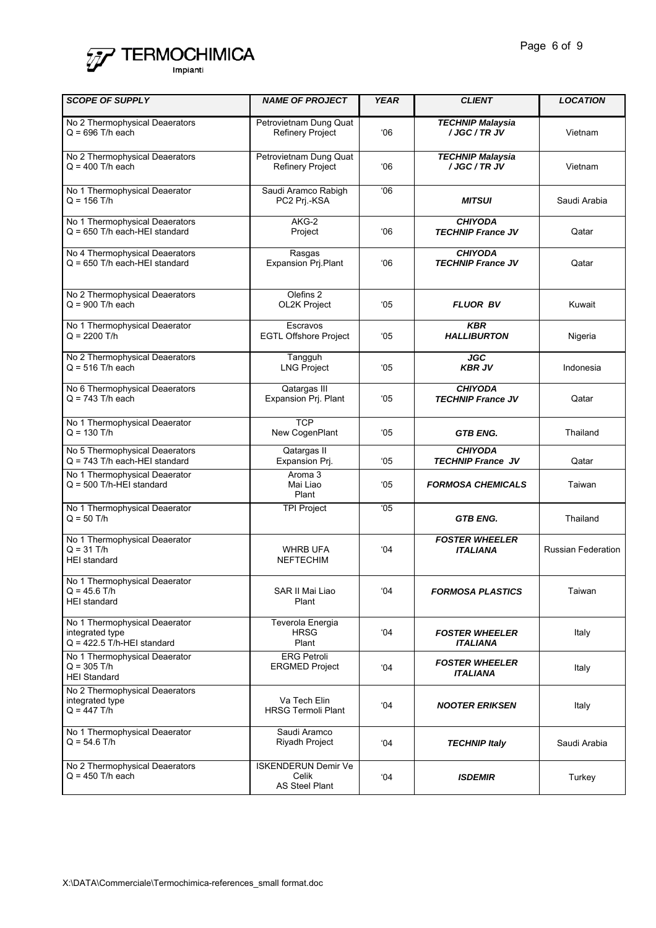

| <b>SCOPE OF SUPPLY</b>                                                           | <b>NAME OF PROJECT</b>                                       | <b>YEAR</b>   | <b>CLIENT</b>                              | <b>LOCATION</b>           |
|----------------------------------------------------------------------------------|--------------------------------------------------------------|---------------|--------------------------------------------|---------------------------|
| No 2 Thermophysical Deaerators<br>$Q = 696$ T/h each                             | Petrovietnam Dung Quat<br><b>Refinery Project</b>            | 06'           | <b>TECHNIP Malaysia</b><br>/ JGC / TR JV   | Vietnam                   |
| No 2 Thermophysical Deaerators<br>$Q = 400$ T/h each                             | Petrovietnam Dung Quat<br><b>Refinery Project</b>            | 06'           | <b>TECHNIP Malaysia</b><br>/ JGC / TR JV   | Vietnam                   |
| No 1 Thermophysical Deaerator<br>$Q = 156$ T/h                                   | Saudi Aramco Rabigh<br>PC2 Prj.-KSA                          | 06'           | <b>MITSUI</b>                              | Saudi Arabia              |
| No 1 Thermophysical Deaerators<br>$Q = 650$ T/h each-HEI standard                | AKG-2<br>Project                                             | 06'           | <b>CHIYODA</b><br><b>TECHNIP France JV</b> | Qatar                     |
| No 4 Thermophysical Deaerators<br>$Q = 650$ T/h each-HEI standard                | Rasgas<br><b>Expansion Prj.Plant</b>                         | 06'           | <b>CHIYODA</b><br><b>TECHNIP France JV</b> | Qatar                     |
| No 2 Thermophysical Deaerators<br>$Q = 900$ T/h each                             | Olefins 2<br>OL2K Project                                    | $^{\circ}05$  | <b>FLUOR BV</b>                            | Kuwait                    |
| No 1 Thermophysical Deaerator<br>$Q = 2200$ T/h                                  | Escravos<br><b>EGTL Offshore Project</b>                     | $^{\circ}05$  | <b>KBR</b><br><b>HALLIBURTON</b>           | Nigeria                   |
| No 2 Thermophysical Deaerators<br>$Q = 516$ T/h each                             | Tangguh<br><b>LNG Project</b>                                | $^{\circ}05$  | <b>JGC</b><br><b>KBR JV</b>                | Indonesia                 |
| No 6 Thermophysical Deaerators<br>$Q = 743$ T/h each                             | Qatargas III<br>Expansion Prj. Plant                         | $^{\circ}05$  | <b>CHIYODA</b><br><b>TECHNIP France JV</b> | Qatar                     |
| No 1 Thermophysical Deaerator<br>$Q = 130$ T/h                                   | <b>TCP</b><br>New CogenPlant                                 | $^{\circ}05$  | <b>GTB ENG.</b>                            | Thailand                  |
| No 5 Thermophysical Deaerators<br>$Q = 743$ T/h each-HEI standard                | Qatargas II<br>Expansion Prj.                                | $^{\circ}05$  | <b>CHIYODA</b><br><b>TECHNIP France JV</b> | Qatar                     |
| No 1 Thermophysical Deaerator<br>$Q = 500$ T/h-HEI standard                      | Aroma 3<br>Mai Liao<br>Plant                                 | $^{\circ}05$  | <b>FORMOSA CHEMICALS</b>                   | Taiwan                    |
| No 1 Thermophysical Deaerator<br>$Q = 50$ T/h                                    | <b>TPI Project</b>                                           | $^{\circ}$ 05 | <b>GTB ENG.</b>                            | Thailand                  |
| No 1 Thermophysical Deaerator<br>$Q = 31$ T/h<br><b>HEI</b> standard             | <b>WHRB UFA</b><br><b>NEFTECHIM</b>                          | 04'           | <b>FOSTER WHEELER</b><br><b>ITALIANA</b>   | <b>Russian Federation</b> |
| No 1 Thermophysical Deaerator<br>$Q = 45.6$ T/h<br><b>HEI</b> standard           | SAR II Mai Liao<br>Plant                                     | 04'           | <b>FORMOSA PLASTICS</b>                    | Taiwan                    |
| No 1 Thermophysical Deaerator<br>integrated type<br>$Q = 422.5$ T/h-HEI standard | Teverola Energia<br><b>HRSG</b><br>Plant                     | 04'           | <b>FOSTER WHEELER</b><br>ITALIANA          | Italy                     |
| No 1 Thermophysical Deaerator<br>$Q = 305$ T/h<br><b>HEI Standard</b>            | <b>ERG Petroli</b><br><b>ERGMED Project</b>                  | $^{\circ}04$  | <b>FOSTER WHEELER</b><br>ITALIANA          | Italy                     |
| No 2 Thermophysical Deaerators<br>integrated type<br>$Q = 447$ T/h               | Va Tech Elin<br><b>HRSG Termoli Plant</b>                    | $^{\circ}04$  | <b>NOOTER ERIKSEN</b>                      | Italy                     |
| No 1 Thermophysical Deaerator<br>$Q = 54.6$ T/h                                  | Saudi Aramco<br>Riyadh Project                               | 04'           | <b>TECHNIP Italy</b>                       | Saudi Arabia              |
| No 2 Thermophysical Deaerators<br>$Q = 450$ T/h each                             | <b>ISKENDERUN Demir Ve</b><br>Celik<br><b>AS Steel Plant</b> | 04'           | <b>ISDEMIR</b>                             | Turkey                    |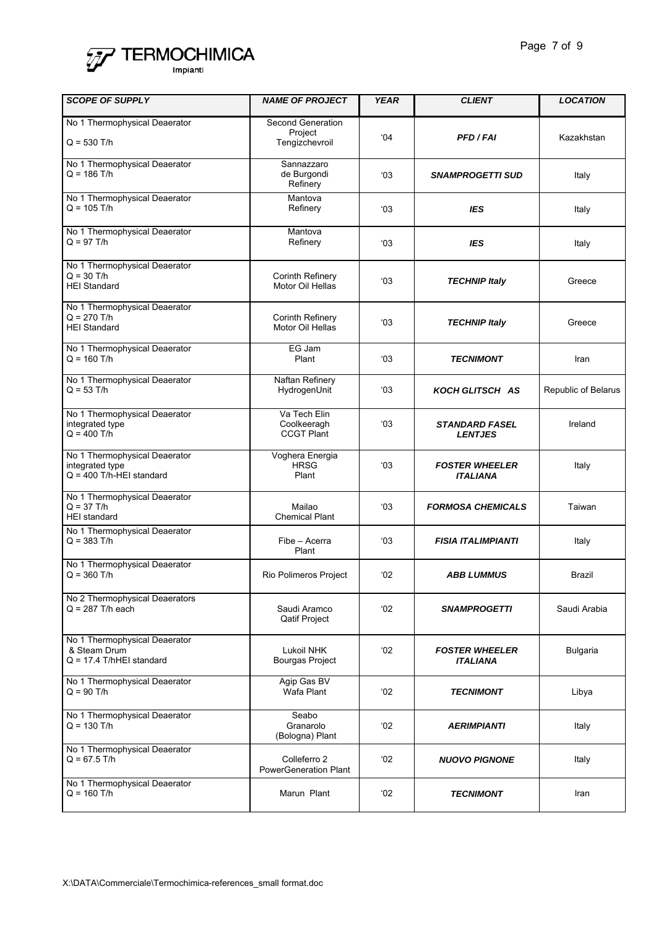

| <b>SCOPE OF SUPPLY</b>                                                         | <b>NAME OF PROJECT</b>                           | <b>YEAR</b>   | <b>CLIENT</b>                            | <b>LOCATION</b>     |
|--------------------------------------------------------------------------------|--------------------------------------------------|---------------|------------------------------------------|---------------------|
| No 1 Thermophysical Deaerator<br>$Q = 530$ T/h                                 | Second Generation<br>Project<br>Tengizchevroil   | 04'           | <b>PFD/FAI</b>                           | Kazakhstan          |
| No 1 Thermophysical Deaerator<br>$Q = 186$ T/h                                 | Sannazzaro<br>de Burgondi<br>Refinery            | $^{\circ}03$  | <b>SNAMPROGETTI SUD</b>                  | Italy               |
| No 1 Thermophysical Deaerator<br>$Q = 105$ T/h                                 | Mantova<br>Refinery                              | 03            | <b>IES</b>                               | Italy               |
| No 1 Thermophysical Deaerator<br>$Q = 97$ T/h                                  | Mantova<br>Refinery                              | $^{\circ}$ 03 | <b>IES</b>                               | Italy               |
| No 1 Thermophysical Deaerator<br>$Q = 30$ T/h<br><b>HEI Standard</b>           | Corinth Refinery<br>Motor Oil Hellas             | $^{\circ}03$  | <b>TECHNIP Italy</b>                     | Greece              |
| No 1 Thermophysical Deaerator<br>$Q = 270$ T/h<br><b>HEI Standard</b>          | <b>Corinth Refinery</b><br>Motor Oil Hellas      | $^{\circ}03$  | <b>TECHNIP Italy</b>                     | Greece              |
| No 1 Thermophysical Deaerator<br>$Q = 160$ T/h                                 | EG Jam<br>Plant                                  | $^{\circ}03$  | <b>TECNIMONT</b>                         | Iran                |
| No 1 Thermophysical Deaerator<br>$Q = 53$ T/h                                  | Naftan Refinery<br>HydrogenUnit                  | $^{\circ}03$  | <b>KOCH GLITSCH AS</b>                   | Republic of Belarus |
| No 1 Thermophysical Deaerator<br>integrated type<br>$Q = 400$ T/h              | Va Tech Elin<br>Coolkeeragh<br><b>CCGT Plant</b> | 03            | <b>STANDARD FASEL</b><br><b>LENTJES</b>  | Ireland             |
| No 1 Thermophysical Deaerator<br>integrated type<br>$Q = 400$ T/h-HEI standard | Voghera Energia<br><b>HRSG</b><br>Plant          | 03            | <b>FOSTER WHEELER</b><br><b>ITALIANA</b> | Italy               |
| No 1 Thermophysical Deaerator<br>$Q = 37$ T/h<br><b>HEI</b> standard           | Mailao<br><b>Chemical Plant</b>                  | 03            | <b>FORMOSA CHEMICALS</b>                 | Taiwan              |
| No 1 Thermophysical Deaerator<br>$Q = 383$ T/h                                 | Fibe - Acerra<br>Plant                           | 03            | <b>FISIA ITALIMPIANTI</b>                | Italy               |
| No 1 Thermophysical Deaerator<br>$Q = 360$ T/h                                 | Rio Polimeros Project                            | $^{\circ}02$  | <b>ABB LUMMUS</b>                        | Brazil              |
| No 2 Thermophysical Deaerators<br>$Q = 287$ T/h each                           | Saudi Aramco<br><b>Qatif Project</b>             | 02'           | <i><b>SNAMPROGETTI</b></i>               | Saudi Arabia        |
| No 1 Thermophysical Deaerator<br>& Steam Drum<br>$Q = 17.4$ T/hHEI standard    | Lukoil NHK<br><b>Bourgas Project</b>             | 02'           | <b>FOSTER WHEELER</b><br><b>ITALIANA</b> | <b>Bulgaria</b>     |
| No 1 Thermophysical Deaerator<br>$Q = 90$ T/h                                  | Agip Gas BV<br>Wafa Plant                        | 02'           | TECNIMONT                                | Libya               |
| No 1 Thermophysical Deaerator<br>$Q = 130$ T/h                                 | Seabo<br>Granarolo<br>(Bologna) Plant            | $^{\circ}02$  | AERIMPIANTI                              | Italy               |
| No 1 Thermophysical Deaerator<br>$Q = 67.5$ T/h                                | Colleferro 2<br><b>PowerGeneration Plant</b>     | 02'           | <b>NUOVO PIGNONE</b>                     | Italy               |
| No 1 Thermophysical Deaerator<br>$Q = 160$ T/h                                 | Marun Plant                                      | $^{\circ}02$  | TECNIMONT                                | Iran                |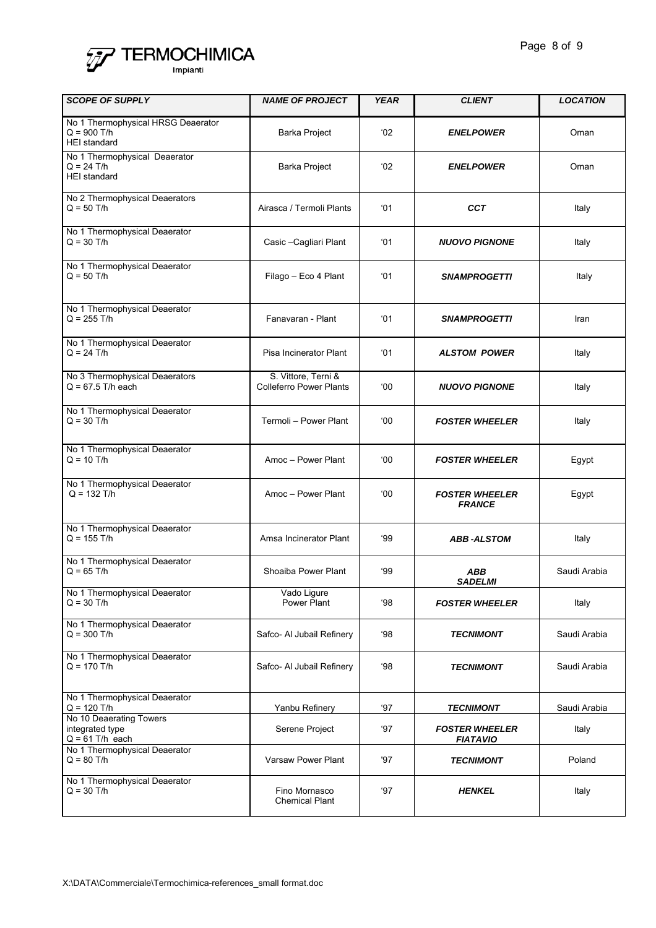

| <b>SCOPE OF SUPPLY</b>                                                     | <b>NAME OF PROJECT</b>                                | <b>YEAR</b>   | <b>CLIENT</b>                            | <b>LOCATION</b> |
|----------------------------------------------------------------------------|-------------------------------------------------------|---------------|------------------------------------------|-----------------|
| No 1 Thermophysical HRSG Deaerator<br>$Q = 900$ T/h<br><b>HEI</b> standard | Barka Project                                         | $^{\circ}02$  | <b>ENELPOWER</b>                         | Oman            |
| No 1 Thermophysical Deaerator<br>$Q = 24$ T/h<br><b>HEI</b> standard       | Barka Project                                         | $^{\circ}02$  | <b>ENELPOWER</b>                         | Oman            |
| No 2 Thermophysical Deaerators<br>$Q = 50$ T/h                             | Airasca / Termoli Plants                              | $^{\circ}$ 01 | <b>CCT</b>                               | Italy           |
| No 1 Thermophysical Deaerator<br>$Q = 30$ T/h                              | Casic - Cagliari Plant                                | $^{\circ}$ 01 | <b>NUOVO PIGNONE</b>                     | Italy           |
| No 1 Thermophysical Deaerator<br>$Q = 50$ T/h                              | Filago - Eco 4 Plant                                  | $^{\circ}$ 01 | <b>SNAMPROGETTI</b>                      | Italy           |
| No 1 Thermophysical Deaerator<br>$Q = 255$ T/h                             | Fanavaran - Plant                                     | $^{\circ}$ 01 | <b>SNAMPROGETTI</b>                      | Iran            |
| No 1 Thermophysical Deaerator<br>$Q = 24$ T/h                              | Pisa Incinerator Plant                                | $^{\circ}$ 01 | <b>ALSTOM POWER</b>                      | Italy           |
| No 3 Thermophysical Deaerators<br>$Q = 67.5$ T/h each                      | S. Vittore, Terni &<br><b>Colleferro Power Plants</b> | $00^{\circ}$  | <b>NUOVO PIGNONE</b>                     | Italy           |
| No 1 Thermophysical Deaerator<br>$Q = 30$ T/h                              | Termoli - Power Plant                                 | 00'           | <b>FOSTER WHEELER</b>                    | Italy           |
| No 1 Thermophysical Deaerator<br>$Q = 10$ T/h                              | Amoc - Power Plant                                    | 00'           | <b>FOSTER WHEELER</b>                    | Egypt           |
| No 1 Thermophysical Deaerator<br>$Q = 132$ T/h                             | Amoc - Power Plant                                    | <b>00</b>     | <b>FOSTER WHEELER</b><br><b>FRANCE</b>   | Egypt           |
| No 1 Thermophysical Deaerator<br>$Q = 155$ T/h                             | Amsa Incinerator Plant                                | 99            | <b>ABB-ALSTOM</b>                        | Italy           |
| No 1 Thermophysical Deaerator<br>$Q = 65$ T/h                              | Shoaiba Power Plant                                   | 99            | ABB<br><b>SADELMI</b>                    | Saudi Arabia    |
| No 1 Thermophysical Deaerator<br>$Q = 30$ T/h                              | Vado Ligure<br>Power Plant                            | '98           | <b>FOSTER WHEELER</b>                    | Italy           |
| No 1 Thermophysical Deaerator<br>$Q = 300$ T/h                             | Safco- Al Jubail Refinery                             | 98            | <b>TECNIMONT</b>                         | Saudi Arabia    |
| No 1 Thermophysical Deaerator<br>$Q = 170$ T/h                             | Safco- Al Jubail Refinery                             | '98           | <b>TECNIMONT</b>                         | Saudi Arabia    |
| No 1 Thermophysical Deaerator<br>$Q = 120$ T/h                             | Yanbu Refinery                                        | '97           | <b>TECNIMONT</b>                         | Saudi Arabia    |
| No 10 Deaerating Towers<br>integrated type<br>$Q = 61$ T/h each            | Serene Project                                        | '97           | <b>FOSTER WHEELER</b><br><b>FIATAVIO</b> | Italy           |
| No 1 Thermophysical Deaerator<br>$Q = 80$ T/h                              | <b>Varsaw Power Plant</b>                             | '97           | <b>TECNIMONT</b>                         | Poland          |
| No 1 Thermophysical Deaerator<br>$Q = 30$ T/h                              | Fino Mornasco<br><b>Chemical Plant</b>                | '97           | <b>HENKEL</b>                            | Italy           |